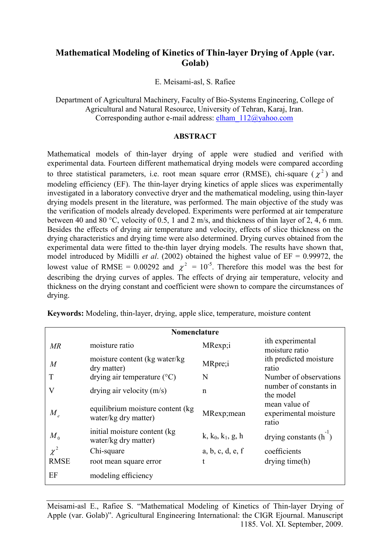# **Mathematical Modeling of Kinetics of Thin-layer Drying of Apple (var. Golab)**

E. Meisami-asl, S. Rafiee

Department of Agricultural Machinery, Faculty of Bio-Systems Engineering, College of Agricultural and Natural Resource, University of Tehran, Karaj, Iran. Corresponding author e-mail address: elham\_112@yahoo.com

## **ABSTRACT**

Mathematical models of thin-layer drying of apple were studied and verified with experimental data. Fourteen different mathematical drying models were compared according to three statistical parameters, i.e. root mean square error (RMSE), chi-square ( $\chi^2$ ) and modeling efficiency (EF). The thin-layer drying kinetics of apple slices was experimentally investigated in a laboratory convective dryer and the mathematical modeling, using thin-layer drying models present in the literature, was performed. The main objective of the study was the verification of models already developed. Experiments were performed at air temperature between 40 and 80 °C, velocity of 0.5, 1 and 2 m/s, and thickness of thin layer of 2, 4, 6 mm. Besides the effects of drying air temperature and velocity, effects of slice thickness on the drying characteristics and drying time were also determined. Drying curves obtained from the experimental data were fitted to the-thin layer drying models. The results have shown that, model introduced by Midilli *et al*. (2002) obtained the highest value of EF = 0.99972, the lowest value of RMSE = 0.00292 and  $\chi^2$  = 10<sup>-5</sup>. Therefore this model was the best for describing the drying curves of apples. The effects of drying air temperature, velocity and thickness on the drying constant and coefficient were shown to compare the circumstances of drying.

| Nomenclature     |                                                           |                     |                                                 |  |  |  |  |  |
|------------------|-----------------------------------------------------------|---------------------|-------------------------------------------------|--|--|--|--|--|
| MR               | moisture ratio                                            | MRexp;i             | ith experimental<br>moisture ratio              |  |  |  |  |  |
| $\boldsymbol{M}$ | moisture content (kg water/kg)<br>dry matter)             | MRpre;i             | ith predicted moisture<br>ratio                 |  |  |  |  |  |
| T                | drying air temperature $({}^{\circ}C)$                    | N                   | Number of observations                          |  |  |  |  |  |
| $\rm V$          | drying air velocity $(m/s)$                               | $\mathbf n$         | number of constants in<br>the model             |  |  |  |  |  |
| $M_{e}$          | equilibrium moisture content (kg)<br>water/kg dry matter) | MRexp; mean         | mean value of<br>experimental moisture<br>ratio |  |  |  |  |  |
| $M_{0}$          | initial moisture content (kg)<br>water/kg dry matter)     | $k, k_0, k_1, g, h$ | drying constants $(h2)$                         |  |  |  |  |  |
| $\chi^2$         | Chi-square                                                | a, b, c, d, e, f    | coefficients                                    |  |  |  |  |  |
| <b>RMSE</b>      | root mean square error                                    | t                   | drying time(h)                                  |  |  |  |  |  |
| EF               | modeling efficiency                                       |                     |                                                 |  |  |  |  |  |

**Keywords:** Modeling, thin-layer, drying, apple slice, temperature, moisture content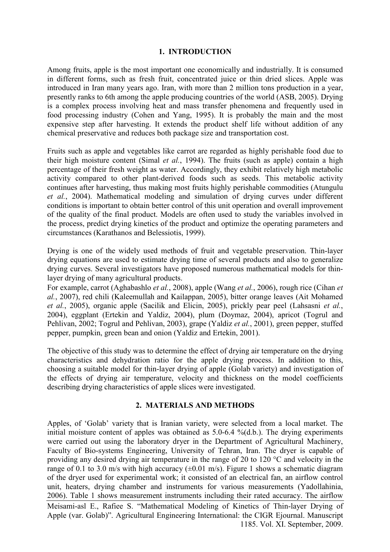## **1. INTRODUCTION**

Among fruits, apple is the most important one economically and industrially. It is consumed in different forms, such as fresh fruit, concentrated juice or thin dried slices. Apple was introduced in Iran many years ago. Iran, with more than 2 million tons production in a year, presently ranks to 6th among the apple producing countries of the world (ASB, 2005). Drying is a complex process involving heat and mass transfer phenomena and frequently used in food processing industry (Cohen and Yang, 1995). It is probably the main and the most expensive step after harvesting. It extends the product shelf life without addition of any chemical preservative and reduces both package size and transportation cost.

Fruits such as apple and vegetables like carrot are regarded as highly perishable food due to their high moisture content (Simal *et al.*, 1994). The fruits (such as apple) contain a high percentage of their fresh weight as water. Accordingly, they exhibit relatively high metabolic activity compared to other plant-derived foods such as seeds. This metabolic activity continues after harvesting, thus making most fruits highly perishable commodities (Atungulu *et al.*, 2004). Mathematical modeling and simulation of drying curves under different conditions is important to obtain better control of this unit operation and overall improvement of the quality of the final product. Models are often used to study the variables involved in the process, predict drying kinetics of the product and optimize the operating parameters and circumstances (Karathanos and Belessiotis, 1999).

Drying is one of the widely used methods of fruit and vegetable preservation. Thin-layer drying equations are used to estimate drying time of several products and also to generalize drying curves. Several investigators have proposed numerous mathematical models for thinlayer drying of many agricultural products.

For example, carrot (Aghabashlo *et al.*, 2008), apple (Wang *et al.*, 2006), rough rice (Cihan *et al.*, 2007), red chili (Kaleemullah and Kailappan, 2005), bitter orange leaves (Ait Mohamed *et al.*, 2005), organic apple (Sacilik and Elicin, 2005), prickly pear peel (Lahsasni *et al.*, 2004), eggplant (Ertekin and Yaldiz, 2004), plum (Doymaz, 2004), apricot (Togrul and Pehlivan, 2002; Togrul and Pehlivan, 2003), grape (Yaldiz *et al.*, 2001), green pepper, stuffed pepper, pumpkin, green bean and onion (Yaldiz and Ertekin, 2001).

The objective of this study was to determine the effect of drying air temperature on the drying characteristics and dehydration ratio for the apple drying process. In addition to this, choosing a suitable model for thin-layer drying of apple (Golab variety) and investigation of the effects of drying air temperature, velocity and thickness on the model coefficients describing drying characteristics of apple slices were investigated.

## **2. MATERIALS AND METHODS**

Apples, of 'Golab' variety that is Iranian variety, were selected from a local market. The initial moisture content of apples was obtained as 5.0-6.4 %(d.b.). The drying experiments were carried out using the laboratory dryer in the Department of Agricultural Machinery, Faculty of Bio-systems Engineering, University of Tehran, Iran. The dryer is capable of providing any desired drying air temperature in the range of 20 to 120 °C and velocity in the range of 0.1 to 3.0 m/s with high accuracy  $(\pm 0.01 \text{ m/s})$ . Figure 1 shows a schematic diagram of the dryer used for experimental work; it consisted of an electrical fan, an airflow control unit, heaters, drying chamber and instruments for various measurements (Yadollahinia, 2006). Table 1 shows measurement instruments including their rated accuracy. The airflow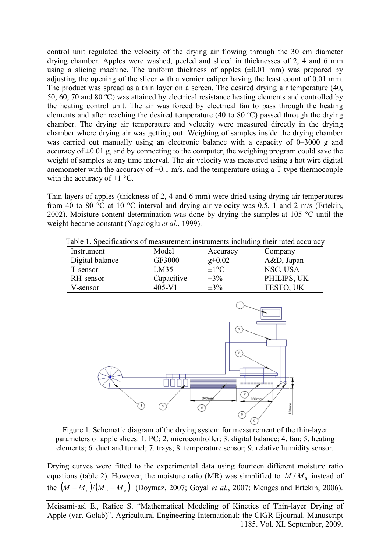control unit regulated the velocity of the drying air flowing through the 30 cm diameter drying chamber. Apples were washed, peeled and sliced in thicknesses of 2, 4 and 6 mm using a slicing machine. The uniform thickness of apples  $(\pm 0.01 \text{ mm})$  was prepared by adjusting the opening of the slicer with a vernier caliper having the least count of 0.01 mm. The product was spread as a thin layer on a screen. The desired drying air temperature (40, 50, 60, 70 and 80 ºC) was attained by electrical resistance heating elements and controlled by 50, 60, 70 and 80 °C) was attained by electrical resistance heating elements and controlled by the heating control unit. The air was forced by electrical fan to pass through the heating elements and after reaching the desired temperature (40 to 80  $^{\circ}$ C) passed through the drying chamber. The drying air temperature and velocity were measured directly in the drying chamber. The drying air temperature and velocity were measured directly in the drying chamber where drying air was getting out. Weighing of samples inside the drying chamber was carried out manually using an electronic balance with a capacity of  $0-3000$  g and accuracy of  $\pm 0.01$  g, and by connecting to the computer, the weighing program could save the was carried out manually using an electronic balance with a capacity of  $0-3000$  g and accuracy of  $\pm 0.01$  g, and by connecting to the computer, the weighing program could save the weight of samples at any time interval weight of samples at any time interval. The air velocity was measured using a hot wire digital anemometer with the accuracy of  $\pm 0.1$  m/s, and the temperature using a T-type thermocouple with the accuracy of  $\pm 1$  °C.

Thin layers of apples (thickness of 2, 4 and 6 mm) were dried using drying air temperatures Thin layers of apples (thickness of 2, 4 and 6 mm) were dried using drying air temperatures from 40 to 80 °C at 10 °C interval and drying air velocity was 0.5, 1 and 2 m/s (Ertekin, 2002). Moisture content determination was done by drying the samples at 105 °C until the 2002). Moisture content determination was done weight became constant (Yagcioglu *et al.*, 1999).

| Table 1. Specifications of measurement instruments including their rated accuracy |            |                   |               |  |  |  |  |  |
|-----------------------------------------------------------------------------------|------------|-------------------|---------------|--|--|--|--|--|
| Instrument                                                                        | Model      | Accuracy          | Company       |  |  |  |  |  |
| Digital balance                                                                   | GF3000     | $g\pm 0.02$       | $A&D$ , Japan |  |  |  |  |  |
| T-sensor                                                                          | LM35       | $\pm 1^{\circ}$ C | NSC, USA      |  |  |  |  |  |
| RH-sensor                                                                         | Capacitive | $\pm 3\%$         | PHILIPS, UK   |  |  |  |  |  |
| V-sensor                                                                          | $405 - V1$ | $\pm 3\%$         | TESTO, UK     |  |  |  |  |  |



Figure 1. Schematic diagram of the drying system for measurement of the thin-layer parameters of apple slices. 1. PC; 2. microcontroller; 3. digital balance; 4. fan; 5. heating elements; 6. duct and tunnel; 7. trays; 8. temperature sensor; 9. relative humidity sensor. Figure 1. Schematic diagram of the drying system for measurement of the thin-layer parameters of apple slices. 1. PC; 2. microcontroller; 3. digital balance; 4. fan; 5. heating elements; 6. duct and tunnel; 7. trays; 8. te

Drying curves were fitted to the experimental data using fourteen different moisture ratio equations (table 2). However, the moisture ratio (MR) was simplified to  $M/M_0$  instead of the  $(M - M_e)/(M_o - M_e)$  (Doymaz, 2007; Goyal *et al.*, 2007; Menges and Ertekin, 2006).

Meisami-asl E., Rafiee S. "Mathematical Modeling of Kinetics of Thin-layer Drying of Apple (var. Golab)". Agricultural Engineering International: the CIGR Ejournal. Manuscript 1185. Vol. XI. September, 2009. 1185. Vol. XI. September, 2009.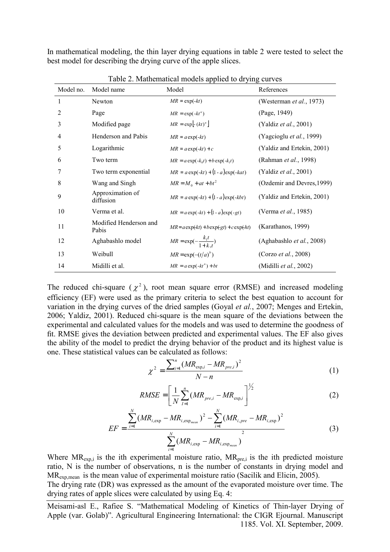In mathematical modeling, the thin layer drying equations in table 2 were tested to select the best model for describing the drying curve of the apple slices.

| Model no. | Model name                      | Model                                        | References                     |
|-----------|---------------------------------|----------------------------------------------|--------------------------------|
| 1         | Newton                          | $MR = \exp(-kt)$                             | (Westerman et al., 1973)       |
| 2         | Page                            | $MR = \exp(-kt^n)$                           | (Page, 1949)                   |
| 3         | Modified page                   | $MR = \exp \left[-\left(kt\right)^n\right]$  | (Yaldiz <i>et al.</i> , 2001)  |
| 4         | Henderson and Pabis             | $MR = a \exp(-kt)$                           | (Yagcioglu et al., 1999)       |
| 5         | Logarithmic                     | $MR = a \exp(-kt) + c$                       | (Yaldiz and Ertekin, 2001)     |
| 6         | Two term                        | $MR = a \exp(-k_0 t) + b \exp(-k_1 t)$       | (Rahman <i>et al.</i> , 1998)  |
| 7         | Two term exponential            | $MR = a \exp(-kt) + (1 - a) \exp(-kat)$      | (Yaldiz <i>et al.</i> , 2001)  |
| 8         | Wang and Singh                  | $MR = M_0 + at + bt^2$                       | (Ozdemir and Devres, 1999)     |
| 9         | Approximation of<br>diffusion   | $MR = a \exp(-kt) + (1 - a) \exp(-kbt)$      | (Yaldiz and Ertekin, 2001)     |
| 10        | Verma et al.                    | $MR = a \exp(-kt) + (1 - a) \exp(-gt)$       | (Verma et al., 1985)           |
| 11        | Modified Henderson and<br>Pabis | $MR = a \exp(kt) + b \exp(-gt) + c \exp(ht)$ | (Karathanos, 1999)             |
| 12        | Aghabashlo model                | $MR = \exp(-\frac{k_1 t}{1 + k_1 t})$        | (Aghabashlo et al., 2008)      |
| 13        | Weibull                         | $MR = \exp(-(t/a)^b)$                        | (Corzo et al., 2008)           |
| 14        | Midilli et al.                  | $MR = a \exp(-kt^n) + bt$                    | (Midilli <i>et al.</i> , 2002) |

Table 2. Mathematical models applied to drying curves

The reduced chi-square ( $\chi^2$ ), root mean square error (RMSE) and increased modeling efficiency (EF) were used as the primary criteria to select the best equation to account for variation in the drying curves of the dried samples (Goyal *et al.*, 2007; Menges and Ertekin, 2006; Yaldiz, 2001). Reduced chi-square is the mean square of the deviations between the experimental and calculated values for the models and was used to determine the goodness of fit. RMSE gives the deviation between predicted and experimental values. The EF also gives the ability of the model to predict the drying behavior of the product and its highest value is one. These statistical values can be calculated as follows:

$$
\chi^2 = \frac{\sum_{i=1}^{n} (MR_{\exp,i} - MR_{pre,i})^2}{N - n}
$$
 (1)

$$
RMSE = \left[\frac{1}{N} \sum_{I=1}^{n} (MR_{pre,i} - MR_{exp,i})\right]^{1/2}
$$
 (2)

$$
EF = \frac{\sum_{i=1}^{N} (MR_{i, \exp} - MR_{i, \exp_{mean}})^2 - \sum_{i=1}^{N} (MR_{i, pre} - MR_{i, \exp})^2}{\sum_{i=1}^{N} (MR_{i, \exp} - MR_{i, \exp_{mean}})^2}
$$
(3)

Where  $MR_{exp,i}$  is the ith experimental moisture ratio,  $MR_{pre,i}$  is the ith predicted moisture ratio, N is the number of observations, n is the number of constants in drying model and MRexp,mean is the mean value of experimental moisture ratio (Sacilik and Elicin, 2005). The drying rate (DR) was expressed as the amount of the evaporated moisture over time. The drying rates of apple slices were calculated by using Eq. 4: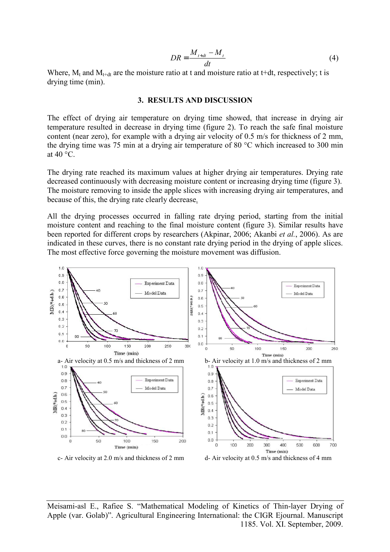$$
DR = \frac{M_{t+dt} - M_t}{dt} \tag{4}
$$

Where,  $M_t$  and  $M_{t+dt}$  are the moisture ratio at t and moisture ratio at t+dt, respectively; t is drying time (min).

#### **3. RESULTS AND DISCUSSION**

The effect of drying air temperature on drying time showed, that increase in drying air temperature resulted in decrease in drying time (figure 2). To reach the safe final moisture content (near zero), for example with a drying air velocity of 0.5 m/s for thickness of 2 mm, the drying time was 75 min at a drying air temperature of 80 °C which increased to 300 min at 40 °C.

The drying rate reached its maximum values at higher drying air temperatures. Drying rate decreased continuously with decreasing moisture content or increasing drying time (figure 3). The moisture removing to inside the apple slices with increasing drying air temperatures, and because of this, the drying rate clearly decrease.

All the drying processes occurred in falling rate drying period, starting from the initial moisture content and reaching to the final moisture content (figure 3). Similar results have been reported for different crops by researchers (Akpinar, 2006; Akanbi *et al.*, 2006). As are indicated in these curves, there is no constant rate drying period in the drying of apple slices. The most effective force governing the moisture movement was diffusion.

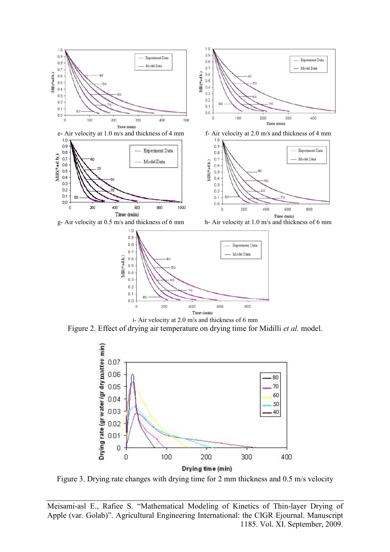



i- Air velocity at 2.0 m/s and thickness of 6 mm Figure 2. Effect of drying air temperature on drying time for Midilli *et al.* model.



Figure 3. Drying rate changes with drying time for 2 mm thickness and 0.5 m/s velocity

Meisami-asl E., Rafiee S. "Mathematical Modeling of Kinetics of Thin-layer Drying of Apple (var. Golab)". Agricultural Engineering International: the CIGR Ejournal. Manuscript 1185. Vol. XI. September, 2009.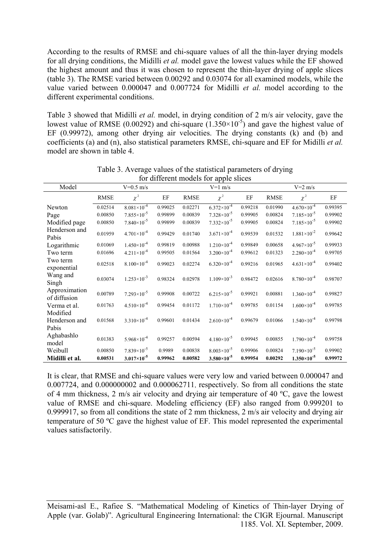According to the results of RMSE and chi-square values of all the thin-layer drying models for all drying conditions, the Midilli *et al.* model gave the lowest values while the EF showed the highest amount and thus it was chosen to represent the thin-layer drying of apple slices (table 3). The RMSE varied between 0.00292 and 0.03074 for all examined models, while the value varied between 0.000047 and 0.007724 for Midilli *et al.* model according to the different experimental conditions.

Table 3 showed that Midilli *et al.* model, in drying condition of 2 m/s air velocity, gave the lowest value of RMSE (0.00292) and chi-square  $(1.350\times10^{-5})$  and gave the highest value of EF (0.99972), among other drying air velocities. The drying constants (k) and (b) and coefficients (a) and (n), also statistical parameters RMSE, chi-square and EF for Midilli *et al.* model are shown in table 4.

| Model                         |             | $V=0.5$ m/s            |         | Tot unforcine inough for apple shees<br>$V=1$ m/s |                        |         | $V=2$ m/s   |                        |         |
|-------------------------------|-------------|------------------------|---------|---------------------------------------------------|------------------------|---------|-------------|------------------------|---------|
|                               |             |                        |         |                                                   |                        |         |             |                        |         |
|                               | <b>RMSE</b> | $\chi^2$               | EF      | <b>RMSE</b>                                       | $\chi^2$               | EF      | <b>RMSE</b> | $\chi^2$               | EF      |
| Newton                        | 0.02514     | $8.081\times10^{-4}$   | 0.99025 | 0.02271                                           | $6.372\times10^{-4}$   | 0.99218 | 0.01990     | $4.670\times10^{-4}$   | 0.99395 |
| Page                          | 0.00850     | $7.855 \times 10^{-5}$ | 0.99899 | 0.00839                                           | $7.328 \times 10^{-5}$ | 0.99905 | 0.00824     | $7.185 \times 10^{-5}$ | 0.99902 |
| Modified page                 | 0.00850     | $7.840\times10^{-5}$   | 0.99899 | 0.00839                                           | $7.332\times10^{-5}$   | 0.99905 | 0.00824     | $7.185 \times 10^{-5}$ | 0.99902 |
| Henderson and<br>Pabis        | 0.01959     | $4.701 \times 10^{-4}$ | 0.99429 | 0.01740                                           | $3.671 \times 10^{-4}$ | 0.99539 | 0.01532     | $1.881 \times 10^{-2}$ | 0.99642 |
| Logarithmic                   | 0.01069     | $1.450\times10^{-4}$   | 0.99819 | 0.00988                                           | $1.210 \times 10^{-4}$ | 0.99849 | 0.00658     | $4.967\times10^{-5}$   | 0.99933 |
| Two term                      | 0.01696     | $4.211 \times 10^{-4}$ | 0.99505 | 0.01564                                           | $3.200 \times 10^{-4}$ | 0.99612 | 0.01323     | $2.280 \times 10^{-4}$ | 0.99705 |
| Two term<br>exponential       | 0.02518     | $8.100\times10^{-4}$   | 0.99023 | 0.02274                                           | $6.320\times10^{-4}$   | 0.99216 | 0.01965     | $4.631 \times 10^{-4}$ | 0.99402 |
| Wang and<br>Singh             | 0.03074     | $1.253 \times 10^{-3}$ | 0.98324 | 0.02978                                           | $1.109\times10^{-3}$   | 0.98472 | 0.02616     | $8.780\times10^{-4}$   | 0.98707 |
| Approximation<br>of diffusion | 0.00789     | $7.293\times10^{-5}$   | 0.99908 | 0.00722                                           | $6.215 \times 10^{-5}$ | 0.99921 | 0.00881     | $1.360\times10^{-4}$   | 0.99827 |
| Verma et al.                  | 0.01763     | $4.510\times10^{-4}$   | 0.99454 | 0.01172                                           | $1.710 \times 10^{-4}$ | 0.99785 | 0.01154     | $1.600 \times 10^{-4}$ | 0.99785 |
| Modified                      |             |                        |         |                                                   |                        |         |             |                        |         |
| Henderson and                 | 0.01568     | $3.310\times10^{-4}$   | 0.99601 | 0.01434                                           | $2.610 \times 10^{-4}$ | 0.99679 | 0.01066     | $1.540\times10^{-4}$   | 0.99798 |
| Pabis                         |             |                        |         |                                                   |                        |         |             |                        |         |
| Aghabashlo<br>model           | 0.01383     | $5.968 \times 10^{-4}$ | 0.99257 | 0.00594                                           | $4.180\times10^{-5}$   | 0.99945 | 0.00855     | $1.790\times10^{-4}$   | 0.99758 |
| Weibull                       | 0.00850     | $7.839\times10^{-5}$   | 0.9989  | 0.00838                                           | $8.003\times10^{-5}$   | 0.99906 | 0.00824     | $7.190\times10^{-5}$   | 0.99902 |
| Midilli et al.                | 0.00531     | $3.017\times10^{-5}$   | 0.99962 | 0.00582                                           | $3.580\times10^{-5}$   | 0.99954 | 0.00292     | $1.350\times10^{-5}$   | 0.99972 |

Table 3. Average values of the statistical parameters of drying for different models for apple slices

It is clear, that RMSE and chi-square values were very low and varied between 0.000047 and 0.007724, and 0.000000002 and 0.000062711, respectively. So from all conditions the state of 4 mm thickness, 2 m/s air velocity and drying air temperature of 40 ºC, gave the lowest value of RMSE and chi-square. Modeling efficiency (EF) also ranged from 0.999201 to 0.999917, so from all conditions the state of 2 mm thickness, 2 m/s air velocity and drying air temperature of 50 ºC gave the highest value of EF. This model represented the experimental values satisfactorily.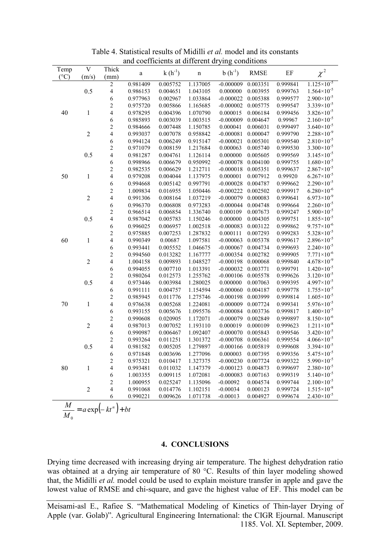| Temp                 | $\mathbf V$    | Thick                         |          | $k(h^{-1})$ |             | $b(h^{-1})$ | <b>RMSE</b> | $\rm EF$ |                        |
|----------------------|----------------|-------------------------------|----------|-------------|-------------|-------------|-------------|----------|------------------------|
| $(^{\circ}C)$        | (m/s)          | (mm)                          | $\rm{a}$ |             | $\mathbf n$ |             |             |          | $\chi^2$               |
| 0.5<br>40<br>$\,1\,$ |                | $\overline{2}$                | 0.981409 | 0.005752    | 1.137005    | $-0.000009$ | 0.003351    | 0.999841 | $1.125 \times 10^{-5}$ |
|                      |                | $\overline{4}$                | 0.986153 | 0.004651    | 1.043105    | 0.000000    | 0.003955    | 0.999763 | $1.564\times10^{-5}$   |
|                      |                | $\boldsymbol{6}$              | 0.977963 | 0.002967    | 1.033864    | $-0.000022$ | 0.005388    | 0.999577 | $2.900\times10^{-5}$   |
|                      |                | $\overline{c}$                | 0.975720 | 0.005866    | 1.165685    | $-0.000002$ | 0.005775    | 0.999547 | $3.339\times10^{-5}$   |
|                      |                | $\overline{\mathcal{L}}$      | 0.978295 | 0.004396    | 1.070790    | 0.000015    | 0.006184    | 0.999456 | $3.826 \times 10^{-5}$ |
|                      |                | $\sqrt{6}$                    | 0.985893 | 0.003039    | 1.003515    | $-0.000009$ | 0.004647    | 0.99967  | $2.160\times10^{-5}$   |
|                      |                | $\overline{c}$                | 0.984666 | 0.007448    | 1.150785    | 0.000041    | 0.006031    | 0.999497 | $3.640\times10^{-5}$   |
|                      | $\overline{c}$ | $\overline{4}$                | 0.993037 | 0.007078    | 0.958842    | $-0.000081$ | 0.000047    | 0.999790 | $2.288\times10^{-9}$   |
|                      |                | $\sqrt{6}$                    | 0.994124 | 0.006249    | 0.915147    | $-0.000021$ | 0.005301    | 0.999540 | $2.810\times10^{-5}$   |
|                      |                | $\overline{c}$                | 0.971079 | 0.008159    | 1.217684    | 0.000063    | 0.005740    | 0.999530 | $3.300\times10^{-5}$   |
|                      | 0.5            | $\overline{4}$                | 0.981287 | 0.004761    | 1.126114    | 0.000000    | 0.005605    | 0.999569 | $3.145 \times 10^{-5}$ |
|                      |                | 6                             | 0.998966 | 0.006679    | 0.950992    | $-0.000078$ | 0.004100    | 0.999755 | $1.680\times10^{-5}$   |
|                      |                | $\overline{c}$                | 0.982535 | 0.006629    | 1.212711    | $-0.000018$ | 0.005351    | 0.999637 | $2.867\times10^{-5}$   |
| 50                   | $\,1\,$        | $\overline{\mathcal{L}}$      | 0.979208 | 0.004044    | 1.137975    | 0.000001    | 0.007912    | 0.99920  | $6.267\times10^{-5}$   |
|                      |                | $\sqrt{6}$                    | 0.994668 | 0.005142    | 0.997791    | $-0.000028$ | 0.004787    | 0.999662 | $2.290\times10^{-5}$   |
|                      |                | $\overline{c}$                | 1.009834 | 0.016955    | 1.050446    | $-0.000222$ | 0.002502    | 0.999917 | $6.280\times10^{-6}$   |
|                      | $\overline{2}$ | $\overline{\mathcal{L}}$      | 0.991306 | 0.008164    | 1.037219    | $-0.000079$ | 0.000083    | 0.999641 | $6.973\times10^{-9}$   |
|                      |                | $\sqrt{6}$                    | 0.996370 | 0.006808    | 0.973283    | $-0.000044$ | 0.004748    | 0.999664 | $2.260\times10^{-5}$   |
|                      |                | $\overline{c}$                | 0.966514 | 0.006854    | 1.336740    | 0.000109    | 0.007673    | 0.999247 | $5.900\times10^{-5}$   |
|                      | 0.5            | $\overline{\mathcal{L}}$      | 0.987042 | 0.005783    | 1.150246    | 0.000000    | 0.004305    | 0.999751 | $1.855 \times 10^{-5}$ |
|                      |                | $\boldsymbol{6}$              | 0.996025 | 0.006957    | 1.002518    | $-0.000083$ | 0.003122    | 0.999862 | $9.757\times10^{-6}$   |
|                      |                | $\overline{c}$                | 0.975885 | 0.007253    | 1.287832    | 0.000111    | 0.007293    | 0.999283 | $5.328 \times 10^{-5}$ |
| 60                   | $\mathbf{1}$   | $\overline{4}$                | 0.990349 | 0.00687     | 1.097581    | $-0.000063$ | 0.005378    | 0.999617 | $2.896 \times 10^{-5}$ |
|                      |                | $\sqrt{6}$                    | 0.993441 | 0.005552    | 1.046675    | $-0.000067$ | 0.004734    | 0.999693 | $2.240\times10^{-5}$   |
|                      |                | $\overline{c}$                | 0.994560 | 0.013282    | 1.167777    | $-0.000354$ | 0.002782    | 0.999905 | $7.771\times10^{-6}$   |
|                      | $\overline{c}$ | $\overline{\mathcal{L}}$      | 1.004158 | 0.009893    | 1.048527    | $-0.000198$ | 0.000068    | 0.999840 | $4.678\times10^{-9}$   |
|                      |                | 6                             | 0.994055 | 0.007710    | 1.013391    | $-0.000032$ | 0.003771    | 0.999791 | $1.420\times10^{-5}$   |
|                      |                | $\overline{c}$                | 0.980264 | 0.012573    | 1.255762    | $-0.000106$ | 0.005578    | 0.999626 | $3.120\times10^{-5}$   |
|                      | 0.5            | $\overline{\mathcal{L}}$      | 0.973446 | 0.003984    | 1.280025    | 0.000000    | 0.007063    | 0.999395 | $4.997\times10^{-5}$   |
|                      |                | $\boldsymbol{6}$              | 0.991111 | 0.004757    | 1.154594    | $-0.000060$ | 0.004187    | 0.999778 | $1.755\times10^{-5}$   |
|                      |                | $\overline{c}$                | 0.985945 | 0.011776    | 1.275746    | $-0.000198$ | 0.003999    | 0.999814 | $1.605\times10^{-5}$   |
| 70                   | $\mathbf{1}$   | $\overline{4}$                | 0.976638 | 0.005268    | 1.224081    | $-0.000009$ | 0.007724    | 0.999341 | $5.976 \times 10^{-5}$ |
|                      |                | $\sqrt{6}$                    | 0.993155 | 0.005676    | 1.095576    | $-0.000084$ | 0.003736    | 0.999817 | $1.400\times10^{-5}$   |
|                      |                | $\overline{c}$                | 0.990608 | 0.020905    | 1.172071    | $-0.000079$ | 0.002849    | 0.999897 | $8.150\times10^{-6}$   |
|                      | $\overline{c}$ | $\overline{\mathcal{L}}$      | 0.987013 | 0.007052    | 1.193110    | 0.000019    | 0.000109    | 0.999623 | $1.211 \times 10^{-8}$ |
|                      |                | 6                             | 0.990987 | 0.006467    | 1.092407    | $-0.000070$ | 0.005843    | 0.999546 | $3.420\times10^{-5}$   |
|                      |                | $\overline{c}$                | 0.993264 | 0.011251    | 1.301372    | $-0.000708$ | 0.006361    | 0.999554 | $4.066\times10^{-5}$   |
|                      | 0.5            | $\overline{\mathcal{L}}$      | 0.981582 | 0.005205    | 1.279897    | $-0.000166$ | 0.005819    | 0.999608 | $3.394\times10^{-5}$   |
|                      |                | $\sqrt{6}$                    | 0.971848 | 0.003696    | 1.277096    | 0.000003    | 0.007395    | 0.999356 | $5.475\times10^{-5}$   |
|                      |                | $\overline{c}$                | 0.975321 | 0.010417    |             | $-0.000230$ |             | 0.999322 | $5.990\times10^{-5}$   |
|                      | $\mathbf{1}$   |                               |          |             | 1.327375    |             | 0.007724    |          | $2.380\times10^{-5}$   |
| 80                   |                | $\overline{\mathcal{L}}$      | 0.993481 | 0.011032    | 1.147379    | $-0.000123$ | 0.004873    | 0.999697 |                        |
|                      |                | $\sqrt{6}$                    | 1.003355 | 0.009115    | 1.072081    | $-0.000083$ | 0.007163    | 0.999319 | $5.140\times10^{-5}$   |
|                      |                | $\overline{c}$                | 1.000955 | 0.025247    | 1.135096    | $-0.00092$  | 0.004574    | 0.999744 | $2.100\times10^{-5}$   |
|                      | $\overline{2}$ | $\overline{\mathbf{4}}$       | 0.991068 | 0.014776    | 1.102151    | $-0.00034$  | 0.000123    | 0.999724 | $1.515\times10^{-8}$   |
|                      |                | 6                             | 0.990221 | 0.009626    | 1.071738    | $-0.00013$  | 0.004927    | 0.999674 | $2.430\times10^{-5}$   |
| $\boldsymbol{M}$     |                | $\sqrt{2}$<br>$\cdot$ $\cdot$ |          |             |             |             |             |          |                        |

Table 4. Statistical results of Midilli *et al.* model and its constants and coefficients at different drying conditions

#### $a \exp(-kt^n) + bt$ *M*  $\frac{M}{\sigma} = a \exp(-kt^n) +$

## **4. CONCLUSIONS**

Drying time decreased with increasing drying air temperature. The highest dehydration ratio was obtained at a drying air temperature of 80 °C. Results of thin layer modeling showed that, the Midilli *et al.* model could be used to explain moisture transfer in apple and gave the lowest value of RMSE and chi-square, and gave the highest value of EF. This model can be

Meisami-asl E., Rafiee S. "Mathematical Modeling of Kinetics of Thin-layer Drying of Apple (var. Golab)". Agricultural Engineering International: the CIGR Ejournal. Manuscript 1185. Vol. XI. September, 2009.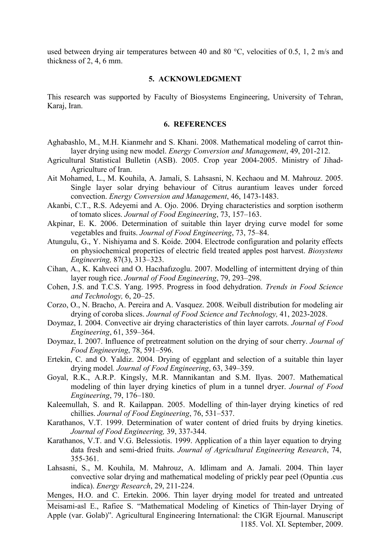used between drying air temperatures between 40 and 80 °C, velocities of 0.5, 1, 2 m/s and thickness of 2, 4, 6 mm.

#### **5. ACKNOWLEDGMENT**

This research was supported by Faculty of Biosystems Engineering, University of Tehran, Karaj, Iran.

### **6. REFERENCES**

- Aghabashlo, M., M.H. Kianmehr and S. Khani. 2008. Mathematical modeling of carrot thinlayer drying using new model. *Energy Conversion and Management*, 49, 201-212.
- Agricultural Statistical Bulletin (ASB). 2005. Crop year 2004-2005. Ministry of Jihad-Agriculture of Iran.
- Ait Mohamed, L., M. Kouhila, A. Jamali, S. Lahsasni, N. Kechaou and M. Mahrouz. 2005. Single layer solar drying behaviour of Citrus aurantium leaves under forced convection. *Energy Conversion and Management*, 46, 1473-1483.
- Akanbi, C.T., R.S. Adeyemi and A. Ojo. 2006. Drying characteristics and sorption isotherm of tomato slices. *Journal of Food Engineering*, 73, 157–163.
- Akpinar, E. K. 2006. Determination of suitable thin layer drying curve model for some vegetables and fruits. *Journal of Food Engineering*, 73, 75–84.
- Atungulu, G., Y. Nishiyama and S. Koide. 2004. Electrode configuration and polarity effects on physiochemical properties of electric field treated apples post harvest. *Biosystems Engineering,* 87(3), 313–323.
- Cihan, A., K. Kahveci and O. Hacıhafızoglu. 2007. Modelling of intermittent drying of thin layer rough rice. *Journal of Food Engineering*, 79, 293–298.
- Cohen, J.S. and T.C.S. Yang. 1995. Progress in food dehydration. *Trends in Food Science and Technology,* 6, 20–25.
- Corzo, O., N. Bracho, A. Pereira and A. Vasquez. 2008. Weibull distribution for modeling air drying of coroba slices. *Journal of Food Science and Technology,* 41, 2023-2028.
- Doymaz, I. 2004. Convective air drying characteristics of thin layer carrots. *Journal of Food Engineering*, 61, 359–364.
- Doymaz, I. 2007. Influence of pretreatment solution on the drying of sour cherry. *Journal of Food Engineering*, 78, 591–596.
- Ertekin, C. and O. Yaldiz. 2004. Drying of eggplant and selection of a suitable thin layer drying model*. Journal of Food Engineering*, 63, 349–359.
- Goyal, R.K., A.R.P. Kingsly, M.R. Mannikantan and S.M. Ilyas. 2007. Mathematical modeling of thin layer drying kinetics of plum in a tunnel dryer. *Journal of Food Engineering*, 79, 176–180.
- Kaleemullah, S. and R. Kailappan. 2005. Modelling of thin-layer drying kinetics of red chillies. *Journal of Food Engineering*, 76, 531–537.
- Karathanos, V.T. 1999. Determination of water content of dried fruits by drying kinetics. *Journal of Food Engineering,* 39, 337-344.
- Karathanos, V.T. and V.G. Belessiotis. 1999. Application of a thin layer equation to drying data fresh and semi-dried fruits. *Journal of Agricultural Engineering Research*, 74, 355-361.
- Lahsasni, S., M. Kouhila, M. Mahrouz, A. Idlimam and A. Jamali. 2004. Thin layer convective solar drying and mathematical modeling of prickly pear peel (Opuntia .cus indica). *Energy Research*, 29, 211-224.
- Menges, H.O. and C. Ertekin. 2006. Thin layer drying model for treated and untreated